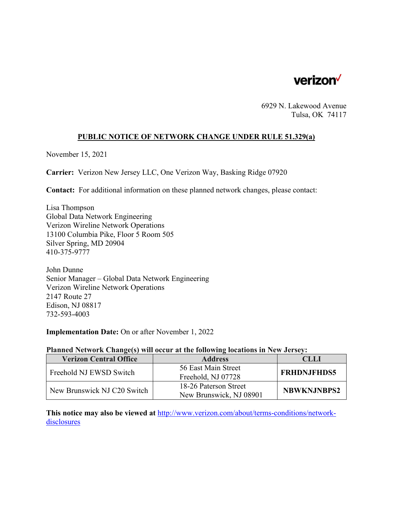

6929 N. Lakewood Avenue Tulsa, OK 74117

## **PUBLIC NOTICE OF NETWORK CHANGE UNDER RULE 51.329(a)**

November 15, 2021

**Carrier:** Verizon New Jersey LLC, One Verizon Way, Basking Ridge 07920

**Contact:** For additional information on these planned network changes, please contact:

Lisa Thompson Global Data Network Engineering Verizon Wireline Network Operations 13100 Columbia Pike, Floor 5 Room 505 Silver Spring, MD 20904 410-375-9777

John Dunne Senior Manager – Global Data Network Engineering Verizon Wireline Network Operations 2147 Route 27 Edison, NJ 08817 732-593-4003

**Implementation Date:** On or after November 1, 2022

## **Planned Network Change(s) will occur at the following locations in New Jersey:**

| <b>Verizon Central Office</b> | <b>Address</b>          | <b>CLLI</b>        |
|-------------------------------|-------------------------|--------------------|
| Freehold NJ EWSD Switch       | 56 East Main Street     | <b>FRHDNJFHDS5</b> |
|                               | Freehold, NJ 07728      |                    |
| New Brunswick NJ C20 Switch   | 18-26 Paterson Street   | <b>NBWKNJNBPS2</b> |
|                               | New Brunswick, NJ 08901 |                    |

**This notice may also be viewed at** http://www.verizon.com/about/terms-conditions/networkdisclosures